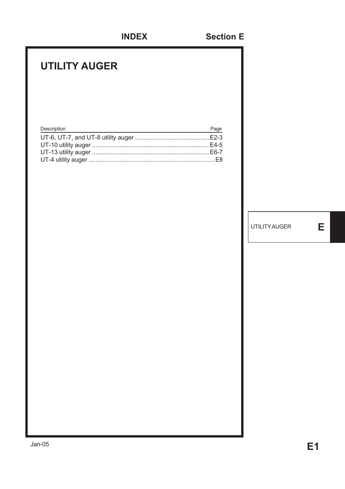### **UTILITY AUGER**

| Description | Page |
|-------------|------|
|             |      |
|             |      |
|             |      |
|             |      |

UTILITY AUGER **E**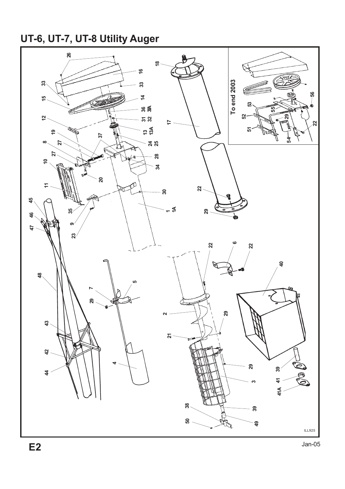# **UT-6, UT-7, UT-8 Utility Auger**

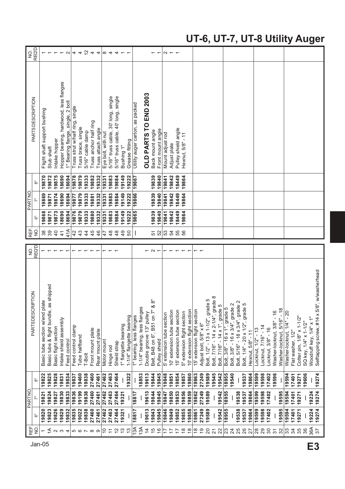#### **UT-6, UT-7, UT-8 Utility Auger**

| PARTSDESCRIPTION<br>PARTNO<br>REF                                                        |  |  | 9<br>N                    | REF.           |       | PARTNO |       | <b>PARTSDESCRIPTION</b>                | <b>REQ'D</b><br>9<br>N |
|------------------------------------------------------------------------------------------|--|--|---------------------------|----------------|-------|--------|-------|----------------------------------------|------------------------|
| စ်<br>$\bar{z}$<br>قً<br>$\frac{1}{2}$                                                   |  |  | <b>REQ'D</b>              | 9<br>N         | စ်    | Ī.     | ္စီ၀  |                                        |                        |
| Basic tube section w/end plate<br>19822<br>19821<br>19820                                |  |  | $\overline{\phantom{0}}$  | 38             | 19868 | 19869  | 19870 | Flight shaft support bushing           |                        |
| as shipped<br>Basic tube & flight bundle,<br>19825<br>19824<br>19823                     |  |  | $\overline{\phantom{m}}$  | 39             | 19871 | 19871  | 19872 | Stub shaft                             |                        |
| Basic flight section<br>19828<br>19827<br>19826                                          |  |  | $\overline{ }$            | 40             | 19873 | 19874  | 19875 | Intake hopper                          |                        |
| Intake shield assembly<br>19831<br>19830<br>19829<br>ო                                   |  |  | $\overline{\phantom{0}}$  | $\frac{4}{1}$  | 18690 | 18690  | 18690 | Hopper bearing, hardwood, less flanges |                        |
| Feed control<br>19834<br>19833<br>19832<br>$\overline{4}$                                |  |  | $\overline{ }$            | 41A            | 18694 | 18694  | 18694 | 1" Bearing flange, single, 2 bolt      |                        |
| Feed control clamp<br>19837<br>19836<br>19835<br>56000                                   |  |  | $\overline{ }$            | 42             | 19876 | 19877  | 19878 | Truss strut w/half ring, single        |                        |
| Tube halfband<br>19460<br>19199<br>19022                                                 |  |  | $\leftarrow$ $\leftarrow$ | 43             | 19879 | 19879  | 19879 | Truss brace, single                    |                        |
| T-Bolt<br>19838<br>19838<br>19838                                                        |  |  |                           | $\overline{4}$ | 19333 | 19333  | 19333 | 5/16" cable damp                       |                        |
| Front mount plate<br>27460<br>27460<br>27460                                             |  |  | $\overline{ }$            | 45             | 19880 | 19881  | 19882 | Truss anchor half ring                 |                        |
| Rear mount plate<br>27461<br>27461<br>27461                                              |  |  | $\overline{ }$            | 46             | 19332 | 9332   | 19332 | Truss attach angle                     |                        |
| Motor mount<br>27462<br>27462<br>27462<br>$\tilde{c}$                                    |  |  | $\overline{ }$            | 47             | 19331 | 19331  | 19331 | Eye bolt, with nut                     |                        |
| Hinge rod<br>27463<br>27463<br>27463<br>$\overline{1}$                                   |  |  | $\overline{ }$            | 48             | 19883 | 19883  | 19883 | single<br>5/16" truss cable, 30' long, |                        |
| Shield strap<br>27464<br>27464<br>27464<br>$\tilde{c}$                                   |  |  | $\overline{ }$            | $\frac{8}{4}$  | 19884 | 9884   | 19884 | 5/16" truss cable, 40' long, single    |                        |
| 1" flangette bearing<br>19321<br>19321<br>$\frac{3}{2}$                                  |  |  |                           | $\frac{9}{4}$  | 19149 | 19149  | 19149 | Bushing 1"                             |                        |
| 1-1/4" flangette bearing<br>19322<br>$\frac{3}{2}$                                       |  |  |                           | 50             | 19222 | 19222  | 19222 | Grease fitting                         |                        |
| I" bearing, less flanges<br><b>1881</b><br>18817<br>13A                                  |  |  |                           |                | 19865 | 19866  | 19867 | Utility auger carton, as packed        |                        |
| 1-1/4" bearing, less flanges<br>18853<br>13A                                             |  |  |                           |                |       |        |       |                                        |                        |
| Double groove 13" pulley<br>19613<br>19613<br>19613<br>$\frac{4}{3}$                     |  |  |                           |                |       |        |       | OLD PARTS TO END 2003                  |                        |
| ္လြ<br>∞<br>Belt, B48 on 6", B51 on 7"<br>19844<br>19844<br>19843<br>$\frac{1}{2}$       |  |  |                           | 51             | 19839 | 19839  | 19839 | Back mount angle                       |                        |
| Pulley shield<br>19845<br>19845<br>19845<br>$\frac{6}{5}$                                |  |  | $ \sim$ $-$               | 52             | 19840 | 19840  | 19840 | Front mount angle                      |                        |
| 5' extension tube section<br>19848<br>19847<br>19846<br>$\overline{1}$                   |  |  | $\overline{ }$            | 53             | 19841 | 19841  | 19841 | Mount adjust rod                       |                        |
| 10' extension tube section<br>19851<br>19850<br>19849<br>$\overline{\phantom{a}}$        |  |  |                           | 54             | 19842 | 19842  | 19842 | Adjust plate                           |                        |
| 15' extension tube section<br>19854<br>19853<br>19852<br>$\ddot{ }$                      |  |  |                           | 55             | 18449 | 18449  | 18449 | Pulley shield angle                    |                        |
| 5" extension flight section<br>19857<br>19856<br>19855<br>$\overset{\infty}{\leftarrow}$ |  |  | $\tau$ $\tau$ $\tau$      | 56             | 19864 | 19864  | 19864 | $\frac{1}{1}$<br>Hexnut, 5/8"          |                        |
| 10' extension flight section<br>19860<br>19859<br>19858<br>$\frac{8}{1}$                 |  |  | $\overline{ }$            |                |       |        |       |                                        |                        |
|                                                                                          |  |  |                           |                |       |        |       |                                        |                        |
| 15' extension flight section<br>19863<br>19862<br>19861<br>$\frac{8}{1}$                 |  |  | $\overline{ }$            |                |       |        |       |                                        |                        |
| Adjust bolt, 5/8" x 6"<br>27249<br>27249<br>27249<br>$\frac{1}{2}$                       |  |  | $\overline{ }$            |                |       |        |       |                                        |                        |
| Bolt, 1/2" - 13 x 1-1/2", grade 5<br>19589<br>19589<br>19589<br>20                       |  |  |                           |                |       |        |       |                                        |                        |
| Bolt, 7/16" - 14 x 2-1/4", grade 8<br>19545<br>$\overline{2}$                            |  |  |                           |                |       |        |       |                                        |                        |
| Ю<br>Bolt, 7/16" - 14 x 1", grade<br>19542<br>19542<br>19542<br>22                       |  |  |                           |                |       |        |       |                                        |                        |
| Bolt, 3/8" - 16 x 1", grade 5<br>18955<br>18955<br>18955<br> z                           |  |  |                           |                |       |        |       |                                        |                        |
| $\frac{2}{9}$ $\frac{2}{9}$<br>Bolt, 3/8" - 16 x 3/4", grade<br>19540<br>$\overline{24}$ |  |  |                           |                |       |        |       |                                        |                        |
| Bolt, 5/16" - 18 x 3/4", grad<br>19538<br>19538<br>25<br>26                              |  |  |                           |                |       |        |       |                                        |                        |
| Б<br>Bolt, 1/4" - 20 x 1/2", grade<br>19537<br>19537<br>19537                            |  |  |                           |                |       |        |       |                                        |                        |
| Hexnut, 5/8" - 11<br>19864<br>19864<br>19864<br>27                                       |  |  |                           |                |       |        |       |                                        |                        |
| Locknut, 1/2" - 13<br>19599<br>19599<br>19599<br>$^{28}$                                 |  |  |                           |                |       |        |       |                                        |                        |
| Locknut, 7/16" - 14<br>19598<br>19598<br>19598<br>29                                     |  |  |                           |                |       |        |       |                                        |                        |
| Locknut, 3/8" - 16<br>17402<br>17402<br>17402<br>30                                      |  |  |                           |                |       |        |       |                                        |                        |
| Washer-locknut, 3/8" - 16<br>19596<br>$\overline{\mathcal{E}}$                           |  |  |                           |                |       |        |       |                                        |                        |
| Washer-locknut, 5/16" - 18<br>19595<br>19595<br>32                                       |  |  |                           |                |       |        |       |                                        |                        |
| Washer-locknut, 1/4" - 20<br>19594<br>19594<br>19594<br>33                               |  |  |                           |                |       |        |       |                                        |                        |
|                                                                                          |  |  |                           |                |       |        |       |                                        |                        |
| Flat washer, 1/2"<br>17401<br>17401<br>17401<br>34                                       |  |  |                           |                |       |        |       |                                        |                        |
| Cotter pin, 1/8" x 1-1/2"<br>19271<br>19271<br>19271<br>35                               |  |  |                           |                |       |        |       |                                        |                        |
| SQ key, 1/4" x 1-1/2"<br>19606<br>36                                                     |  |  |                           |                |       |        |       |                                        |                        |
| Woodruff key, 1/4" x 1"<br>19224<br>19224<br>36A                                         |  |  |                           |                |       |        |       |                                        |                        |
| 8", w/washerhead<br>Selftapping screw, #14 x 5/<br>19274<br>19274<br>19274<br>57         |  |  |                           |                |       |        |       |                                        |                        |
|                                                                                          |  |  |                           |                |       |        |       |                                        |                        |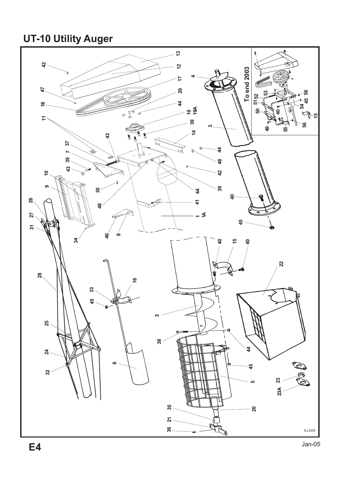**UT-10 Utility Auger**

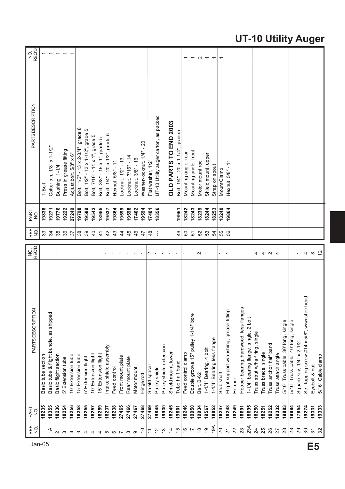### **UT-10 Utility Auger**

| REF.<br>NO.              | PART<br>9. | PARTSDESCRIPTION                                | NO.<br>REQD              | REF.<br>o<br>N | PART<br>$\frac{1}{2}$ | PARTSDESCRIPTION                      | <b>REQD</b><br>g         |
|--------------------------|------------|-------------------------------------------------|--------------------------|----------------|-----------------------|---------------------------------------|--------------------------|
|                          | 18235      | Basic tube section                              | $\overline{ }$           | 33             | 19838                 | T-Bolt                                |                          |
| $\overline{\mathcal{L}}$ | 18355      | Basic tube & flight bundle, as shipped          |                          | 34             | 19271                 | Cotter pin, 1/8" x 1-1/2"             |                          |
| $\sim$                   | 18236      | Basic flight section                            |                          | 35             | 19776                 | Bushing, 1-1/4"                       |                          |
| S                        | 18254      | 5' Extension tube                               |                          | 36             | 19222                 | Press in grease fitting               |                          |
| ന                        | 18256      | 10' Extension tube                              |                          | 57             | 27249                 | Adjust bolt, 5/8" x 6"                |                          |
| S                        | 18258      | 15' Extension tube                              |                          | 38             | 19798                 | Bolt, 1/2" - 13 x 2-3/4", grade 8     |                          |
| 4                        | 18255      | 5' Extension flight                             |                          | 39             | 19589                 | Bolt, 1/2" - 13 x 1-1/2", grade 5     |                          |
| 4                        | 18257      | 10' Extension flight                            |                          | $\overline{4}$ | 19542                 | Bolt, 7/16" - 14 x 1", grade 5        |                          |
| 4                        | 18259      | 15' Extension flight                            |                          | $\frac{4}{3}$  | 18955                 | Bolt, 3/8" - 16 x 1", grade 5         |                          |
| 5                        | 18237      | Intake shield assembly                          | $\overline{\phantom{0}}$ | 42             | 19537                 | Bolt, 1/4" - 20 x 1/2", grade 5       |                          |
| $\circ$ $\sim$           | 18238      | Feed control                                    |                          | 43             | 19864                 | Hexnut, 5/8" - 11                     |                          |
|                          | 27465      | Front mount plate                               |                          | $\frac{4}{3}$  | 19599                 | Locknut, 1/2" - 13                    |                          |
| $\infty$                 | 27466      | Rear mount plate                                |                          | 45             | 19598                 | Locknut, 7/16" - 14                   |                          |
| တ                        | 27467      | Motor mount                                     |                          | 46             | 17402                 | Locknut, 3/8" - 16                    |                          |
| $\tilde{c}$              | 27468      | Hinge rod                                       |                          | $\ddot{4}$     | 19594                 | $-20$<br>Washer-locknut, 1/4"         |                          |
| $\tilde{t}$              | 27469      | Shield spacer                                   | N                        | $\frac{8}{4}$  | 17401                 | Flat washer, 1/2"                     |                          |
| $\frac{2}{3}$            | 19845      | Pulley shield                                   |                          |                | 18356                 | UT-10 Utility auger carton, as packed |                          |
| $\frac{3}{2}$            | 19930      | Pulley shield extension                         |                          |                |                       |                                       |                          |
| $\overline{4}$           | 18245      | Shield mount, lower                             |                          |                |                       | OLD PARTS TO END 2003                 |                          |
| $\frac{5}{3}$            | 19801      | Tube half band                                  | $\overline{\phantom{0}}$ | qÞ             | 19951                 | Bolt, 1/4" - 20 x 1-1/4", grade5      |                          |
| $\frac{6}{5}$            | 18246      | Feed control clamp                              | $\overline{ }$           | 50             | 18242                 | Mounting angle, rear                  | $\overline{\phantom{0}}$ |
| $\overline{1}$           | 19950      | Double groove 15" pulley 1-1/4" bore            | $\overline{ }$           | 51             | 18243                 | Mounting angle, front                 | $\overline{ }$           |
| $\frac{8}{1}$            | 19934      | Belt, B-62                                      | $\sim$                   | 52             | 18239                 | Motor mount rod                       |                          |
| $\frac{1}{2}$            | 19567      | 1-1/4" Bearing, 4 bolt                          |                          | 53             | 18244                 | Shield mount, upper                   | $\sim$ $\sim$            |
| 19A                      | 18852      | 1-1/4" Bearing less flange                      |                          | 54             | 18253                 | Strap on spout                        | $\overline{ }$           |
| $\overline{20}$          | 18247      | Stub shaft                                      | $\overline{\phantom{0}}$ | 55             | 18240                 | Mount Clamp                           | $\overline{\phantom{0}}$ |
| $\overline{2}$           | 18248      | Flight support w/bushing, grease fitting        | $\overline{ }$           | 56             | 19864                 | Hexnut, 5/8" - 11                     |                          |
| 22                       | 8249       | Hopper                                          |                          |                |                       |                                       |                          |
| 23                       | 18691      | Hopper bearing, hardwood, less flanges          |                          |                |                       |                                       |                          |
| 23A                      | 18695      | 2 bolt<br>1-1/4" bearing flange, single,        |                          |                |                       |                                       |                          |
| $\overline{24}$          | 18250      | Truss strut w/half ring, single                 | 4                        |                |                       |                                       |                          |
| 25                       | 18251      | Truss brace, single                             |                          |                |                       |                                       |                          |
| 26                       | 18252      | Truss anchor half band                          | 4 U 4                    |                |                       |                                       |                          |
| 27                       | 19332      | Truss attach angle                              |                          |                |                       |                                       |                          |
| 28                       | 19883      | 5/16" Truss cable, 30' long, single             |                          |                |                       |                                       |                          |
| 28                       | 19884      | 5/16" Truss cable, 40' long, single             |                          |                |                       |                                       |                          |
| 29                       | 17854      | Square key, 1/4" x 2-1/2"                       |                          |                |                       |                                       |                          |
| $\boldsymbol{S}$         | 19274      | head<br>Self tapping screw #14 x 5/8", w/washer | $\overline{4}$           |                |                       |                                       |                          |
| $\overline{3}$           | 19331      | Eyebolt & nut                                   | $\infty$                 |                |                       |                                       |                          |
| 32                       | 19333      | 5/16" Cable clamp                               | $\frac{2}{3}$            |                |                       |                                       |                          |

Jan-05 **E5**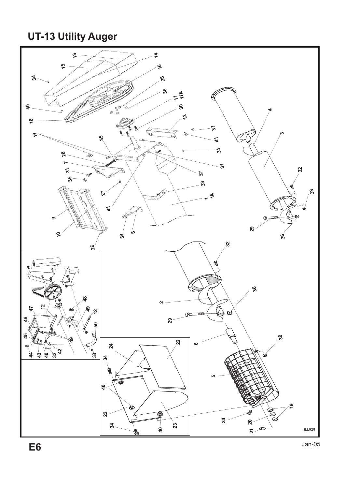### **UT-13 Utility Auger**

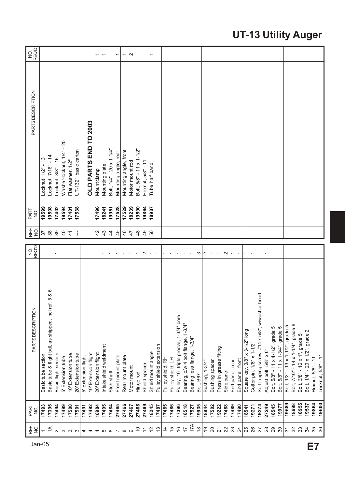### **UT-13 Utility Auger**

| Jan-05 | 臣<br>NO.                 | PART<br>$\frac{1}{2}$ | PARTSDESCRIPTION                                     | $rac{1}{2}$               | REF.<br>$\overline{5}$ | PART<br>NO. | <b>PARTSDESCRIPTION</b>       | <b>REQD</b><br>9.        |
|--------|--------------------------|-----------------------|------------------------------------------------------|---------------------------|------------------------|-------------|-------------------------------|--------------------------|
|        |                          | 17493                 | Basic tube section                                   | $\overline{\phantom{0}}$  | 57                     | 19599       | Locknut, 1/2" - 13            |                          |
|        | $\overline{\mathcal{L}}$ | 17395                 | Basic tube & flight bdl, as shipped, incl ref. 5 & 6 |                           | 38                     | 19598       | Locknut, 7/16" - 14           |                          |
|        | $\sim$                   | 17494                 | Basic flight section                                 |                           | 39                     | 17402       | Locknut, 3/8" - 16            |                          |
|        | $\infty$                 | 17499                 | 5' Extension tube                                    |                           | $\overline{4}$         | 19594       | $-20$<br>Washer-locknut, 1/4" |                          |
|        | ო ო                      | 17500                 | 10' Extension tube                                   |                           | $\frac{4}{3}$          | 17401       | Flat washer, 1/2"             |                          |
|        |                          | 17501                 | 20' Extension tube                                   |                           | ł                      | 17538       | UT-1321 basic carton          |                          |
|        | 4                        | 17491                 | 5' Extension flight                                  |                           |                        |             |                               |                          |
|        |                          | 17492                 | 10' Extension flight                                 |                           |                        |             | OLD PARTS END TO 2003         |                          |
|        | 4                        | 18984                 | 20' Extension flight                                 |                           | $\overline{4}$         | 17496       | Mount clamp                   |                          |
|        | ပ                        | 17495                 | Intake shield weldment                               |                           | $\frac{3}{4}$          | 18241       | Mounting plate                | $\overline{\phantom{0}}$ |
|        | $\circ$                  | 17484                 | Stub shaft                                           |                           | $\frac{4}{3}$          | 19951       | Bolt, 1/4" - 20 x 1-1/4"      |                          |
|        |                          | 27465                 | Front mount plate                                    | $\overline{ }$            | 45                     | 17528       | Mounting angle, rear          | ۳                        |
|        |                          | 27466                 | Rear mount plate                                     | $\overline{\phantom{0}}$  | $\frac{6}{5}$          | 17529       | Mounting angle, front         |                          |
|        | $\infty$ $\infty$        | 27467                 | Motor mount                                          |                           | $\ddot{4}$             | 18239       | Motor mount rod               | $\sim$ $\sim$            |
|        | S                        | 27468                 | Hinge rod                                            | $\overline{ }$            | $\frac{8}{3}$          | 19590       | Bolt, 5/8" - 11 x 1-1/2"      |                          |
|        | $\overline{a}$           | 27469                 | Shield spacer                                        | $\sim$                    | $\frac{9}{4}$          | 19864       | Hexnut, 5/8" - 11             |                          |
|        | 12                       | 18245                 | Shield mount angle                                   | $\overline{\phantom{0}}$  | SO                     | 18987       | Tube half band                | ᠇                        |
|        | $\frac{3}{2}$            | 17487                 | Pulley shield extension                              | $\overline{ }$            |                        |             |                               |                          |
|        | $\overline{4}$           | 17485                 | Pulley shield, RH                                    | $\overline{\phantom{0}}$  |                        |             |                               |                          |
|        | $\frac{5}{3}$            | 17486                 | Pulley shield, LH                                    | $\overline{\phantom{0}}$  |                        |             |                               |                          |
|        | $\frac{6}{5}$            | 17396                 | Pulley, 16" triple groove, 1-3/4" bore               |                           |                        |             |                               |                          |
|        | $\overline{1}$           | 18518                 | Bearing, c/w 4 bolt flange, 1-3/4"                   | $\overline{ }$            |                        |             |                               |                          |
|        | 17A                      | 17527                 | Bearing less flange, 1-3/4"                          | $\overline{\phantom{0}}$  |                        |             |                               |                          |
|        | $\frac{\infty}{\infty}$  | 19935                 | Belt, B67                                            | <b>ം</b>                  |                        |             |                               |                          |
|        | $\overline{9}$           | 18944                 | Bushing, 1-3/4"                                      |                           |                        |             |                               |                          |
|        | $\overline{20}$          | 17502                 | Bushing spacer                                       |                           |                        |             |                               |                          |
|        | $\overline{2}$           | 19222                 | Press in grease fitting                              | $N - \tau N$              |                        |             |                               |                          |
|        | 22                       | 17488                 | Side panel                                           |                           |                        |             |                               |                          |
|        | 23                       | 17489                 | End panel, rear                                      | $\leftarrow$ $\leftarrow$ |                        |             |                               |                          |
|        | $\overline{24}$          | 17490                 | End panel, front                                     |                           |                        |             |                               |                          |
|        | 25                       | 18541                 | Square key, 3/8" x 3-1/2" long                       | $\overline{\phantom{0}}$  |                        |             |                               |                          |
|        | 26                       | 19271                 | Cotter pin, 1/8" x 1-1/2"                            |                           |                        |             |                               |                          |
|        | 27                       | 19274                 | Self tapping screw, #14 x 5/8", w/washer head        |                           |                        |             |                               |                          |
|        | 28                       | 27249                 | Adjust bolt, 5/8" x 6"                               |                           |                        |             |                               |                          |
|        | 29                       | 18545                 | Bolt, 5/8" - 11 x 4-1/2", grade 5                    |                           |                        |             |                               |                          |
|        | $30^{\circ}$             | 19977                 | Bolt, 5/8" - 11 x 1-3/4", grade 5                    |                           |                        |             |                               |                          |
|        | $\overline{3}$           | 19589                 | Bolt, 1/2" - 13 x 1-1/2", grade 5                    |                           |                        |             |                               |                          |
|        | 32                       | 18698                 | Bolt, 7/16" - 14 x 1-1/4", grade 8                   |                           |                        |             |                               |                          |
|        | 33                       | 18955                 | Bolt, 3/8" - 16 x 1", grade 5                        |                           |                        |             |                               |                          |
|        | 34                       | 19537                 | Bolt, 1/4" - 20 x 1/2", grade 2                      |                           |                        |             |                               |                          |
| E7     | 35                       | 19864                 | Hexnut, 5/8" - 11                                    |                           |                        |             |                               |                          |
|        | 36                       | 19600                 | Locknut, 5/8" - 11                                   |                           |                        |             |                               |                          |